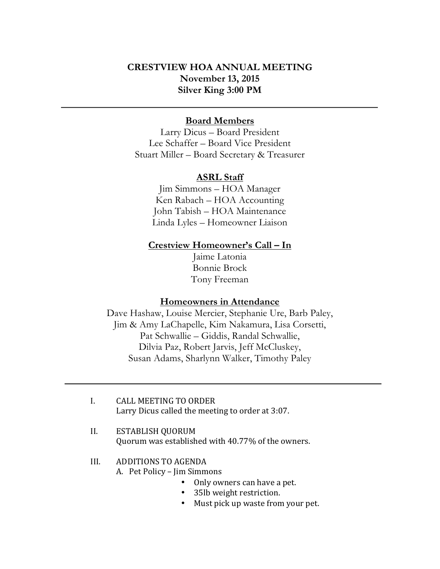# **CRESTVIEW HOA ANNUAL MEETING November 13, 2015 Silver King 3:00 PM**

#### **Board Members**

Larry Dicus – Board President Lee Schaffer – Board Vice President Stuart Miller – Board Secretary & Treasurer

#### **ASRL Staff**

Jim Simmons – HOA Manager Ken Rabach – HOA Accounting John Tabish – HOA Maintenance Linda Lyles – Homeowner Liaison

#### **Crestview Homeowner's Call – In**

Jaime Latonia Bonnie Brock Tony Freeman

### **Homeowners in Attendance**

Dave Hashaw, Louise Mercier, Stephanie Ure, Barb Paley, Jim & Amy LaChapelle, Kim Nakamura, Lisa Corsetti, Pat Schwallie – Giddis, Randal Schwallie, Dilvia Paz, Robert Jarvis, Jeff McCluskey, Susan Adams, Sharlynn Walker, Timothy Paley

- I. CALL MEETING TO ORDER Larry Dicus called the meeting to order at 3:07.
- II. ESTABLISH OUORUM Quorum was established with 40.77% of the owners.

#### III. ADDITIONS TO AGENDA

A. Pet Policy – Jim Simmons

- Only owners can have a pet.
- 35lb weight restriction.
- Must pick up waste from your pet.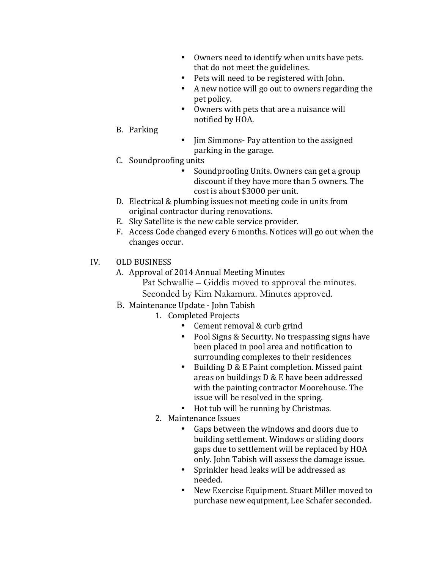- Owners need to identify when units have pets. that do not meet the guidelines.
- Pets will need to be registered with John.
- A new notice will go out to owners regarding the pet policy.
- Owners with pets that are a nuisance will notified by HOA.
- B. Parking
- Jim Simmons- Pay attention to the assigned parking in the garage.
- C. Soundproofing units
	- Soundproofing Units. Owners can get a group discount if they have more than 5 owners. The cost is about \$3000 per unit.
- D. Electrical & plumbing issues not meeting code in units from original contractor during renovations.
- E. Sky Satellite is the new cable service provider.
- F. Access Code changed every 6 months. Notices will go out when the changes occur.
- IV. OLD BUSINESS
	- A. Approval of 2014 Annual Meeting Minutes
		- Pat Schwallie Giddis moved to approval the minutes. Seconded by Kim Nakamura. Minutes approved.
	- B. Maintenance Update John Tabish
		- 1. Completed Projects
			- Cement removal  $&$  curb grind
			- Pool Signs & Security. No trespassing signs have been placed in pool area and notification to surrounding complexes to their residences
			- Building D & E Paint completion. Missed paint areas on buildings  $D & E$  have been addressed with the painting contractor Moorehouse. The issue will be resolved in the spring.
			- Hot tub will be running by Christmas.
		- 2. Maintenance Issues
			- Gaps between the windows and doors due to building settlement. Windows or sliding doors gaps due to settlement will be replaced by HOA only. John Tabish will assess the damage issue.
			- Sprinkler head leaks will be addressed as needed.
			- New Exercise Equipment. Stuart Miller moved to purchase new equipment, Lee Schafer seconded.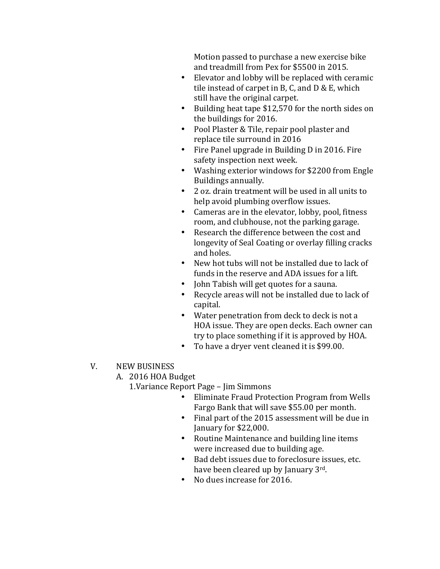Motion passed to purchase a new exercise bike and treadmill from Pex for \$5500 in 2015.

- Elevator and lobby will be replaced with ceramic tile instead of carpet in B, C, and  $D &E$ , which still have the original carpet.
- Building heat tape \$12,570 for the north sides on the buildings for 2016.
- Pool Plaster & Tile, repair pool plaster and replace tile surround in 2016
- Fire Panel upgrade in Building D in 2016. Fire safety inspection next week.
- Washing exterior windows for \$2200 from Engle Buildings annually.
- 2 oz. drain treatment will be used in all units to help avoid plumbing overflow issues.
- Cameras are in the elevator, lobby, pool, fitness room, and clubhouse, not the parking garage.
- Research the difference between the cost and longevity of Seal Coating or overlay filling cracks and holes.
- New hot tubs will not be installed due to lack of funds in the reserve and ADA issues for a lift.
- John Tabish will get quotes for a sauna.
- Recycle areas will not be installed due to lack of capital.
- Water penetration from deck to deck is not a HOA issue. They are open decks. Each owner can try to place something if it is approved by HOA.
- To have a dryer vent cleaned it is \$99.00.
- V. NEW BUSINESS

## A. 2016 HOA Budget

1. Variance Report Page - Jim Simmons

- Eliminate Fraud Protection Program from Wells Fargo Bank that will save \$55.00 per month.
- Final part of the 2015 assessment will be due in January for \$22,000.
- Routine Maintenance and building line items were increased due to building age.
- Bad debt issues due to foreclosure issues, etc. have been cleared up by January 3rd.
- No dues increase for 2016.